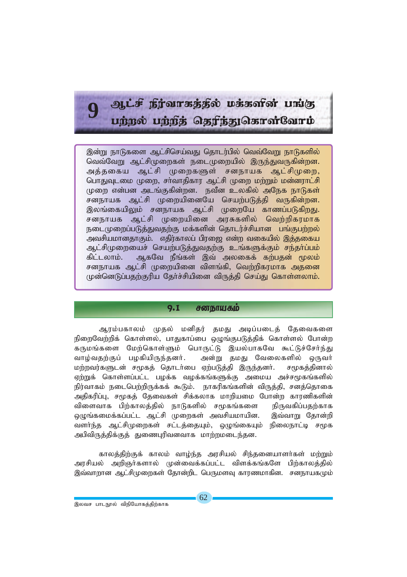# $R$ , if  $f$  is possed in the post of  $r$  and  $r$ uற்றல் பற்றத் தெரிந்துகொள்வோம்

இன்று நாடுகளை ஆட்சிசெய்வது தொடர்பில் வெவ்வேறு நாடுகளில் வெவ்வோட ஆட்சிமுறைகள் நடைமுறையில் இருந்துவருகின்றன. அக்ககைய ஆட்சி முறைகளுள் சனநாயக ஆட்சிமுறை, பொதுவுடமை முறை, சா்வாதிகார ஆட்சி முறை மற்றும் மன்னராட்சி முறை என்பன அடங்குகின்றன. நவீன உலகில் அநேக நாடுகள் சனநாயக ஆட்சி முறையினையே செயற்படுத்தி வருகின்றன. இலங்கையிலும் சனநாயக ஆட்சி முறையே காணப்படுகிறது. சனநாயக ஆட்சி முறையினை அரசுகளில் வெற்றிகரமாக நடைமுறைப்படுத்துவதற்கு மக்களின் தொடர்ச்சியான பங்குபற்றல் அவசியமானதாகும். எதிர்காலப் பிரஜை என்ற வகையில் இத்தகைய ஆட்சிமுறையைச் செயற்படுத்துவதற்கு உங்களுக்கும் சந்தர்ப்பம் கிட்டலாம். ஆகவே நீங்கள் இவ் அலகைக் கற்பதன் மூலம் சனநாயக ஆட்சி முறையினை விளங்கி, வெற்றிகரமாக அதனை முன்னெடுப்பதற்குரிய தேர்ச்சியினை விருத்தி செய்து கொள்ளலாம்.

### 9.1 சனநாயகம்

ஆரம்பகாலம் முதல் மனிதர் தமது அடிப்படைத் தேவைகளை நிறைவேற்றிக் கொள்ளல், பாதுகாப்பை ஒழுங்குபடுத்திக் கொள்ளல் போன்ற கருமங்களை மேற்கொள்ளும் பொருட்டு இயல்பாகவே கூட்டுச்சேர்ந்து வாழ்வதற்குப் பழகியிருந்தனர். அன்று தமது வேலைகளில் ஒருவர் மற்றவர்களுடன் சமூகத் தொடர்பை ஏற்படுத்தி இருந்தனர். சமூகத்தினால் ஏற்றுக் கொள்ளப்பட்ட பழக்க வழக்கங்களுக்கு அமைய அச்சமூகங்களில் நிர்வாகம் நடைபெற்றிருக்கக் கூடும். நாகரிகங்களின் விருக்கி, சனக்கொகை அதிகரிப்பு, சமூகத் தேவைகள் சிக்கலாக மாறியமை போன்ற காரணிகளின் விளைவாக பிற்காலத்தில் நாடுகளில் சமூகங்களை நிருவகிப்பதற்காக ஒழுங்கமைக்கப்பட்ட ஆட்சி முறைகள் அவசியமாயின. இவ்வாறு தோன்றி வளர்ந்த ஆட்சிமுறைகள் சட்டத்தையும், ஒழுங்கையும் நிலைநாட்டி சமூக அபிவிருத்திக்குத் துணைபுரிவனவாக மாற்றமடைந்தன.

காலத்திற்குக் காலம் வாழ்ந்த அரசியல் சிந்தனையாளர்கள் மற்றும் அரசியல் அறிஞர்களால் முன்வைக்கப்பட்ட விளக்கங்களே பிற்காலத்தில் இவ்வாறான ஆட்சிமுறைகள் தோன்றிட பெருமளவு காரணமாகின. சனநாயகமும்

**9**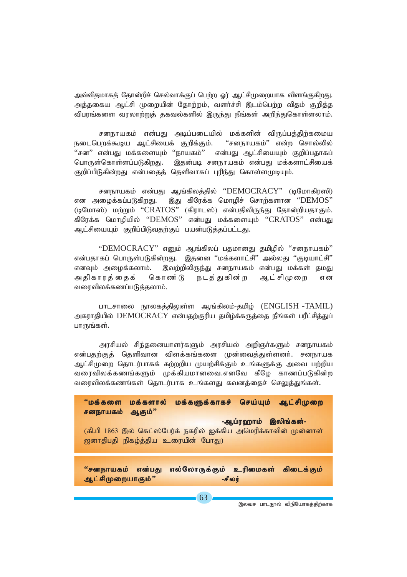அவ்விதமாகத் தோன்றிச் செல்வாக்குப் பெற்ற ஓர் ஆட்சிமுறையாக விளங்குகிறது. அத்தகைய ஆட்சி முறையின் தோற்றம், வளர்ச்சி இடம்பெற்ற விதம் குறித்த விபரங்களை வரலாற்றுத் தகவல்களில் இருந்து நீங்கள் அறிந்துகொள்ளலாம்.

சனநாயகம் என்பது அடிப்படையில் மக்களின் விருப்பத்திற்கமைய ''சனநாயகம்'' என்ற சொல்லில் நடைபெறக்கூடிய ஆட்சியைக் குறிக்கும். ''சன'' என்பது மக்களையும் ''நாயகம்'' என்பது ஆட்சியையும் குறிப்பதாகப் பொருள்கொள்ளப்படுகிறது. இதன்படி சனநாயகம் என்பது மக்களாட்சியைக் குறிப்பிடுகின்றது என்பதைத் தெளிவாகப் புரிந்து கொள்ளமுடியும்.

சனநாயகம் என்பது ஆங்கிலத்தில் "DEMOCRACY" (டிமோகிரஸி) என அழைக்கப்படுகிறது. இது கிரேக்க மொழிச் சொற்களான "DEMOS" (டிமோஸ்) மற்றும் "CRATOS" (கிராடஸ்) என்பதிலிருந்து தோன்றியதாகும். கிரேக்க மொழியில் "DEMOS" என்பது மக்களையும் "CRATOS" என்பது ஆட்சியையும் குறிப்பிடுவதற்குப் பயன்படுத்தப்பட்டது.

"DEMOCRACY" எனும் ஆங்கிலப் பதமானது தமிழில் "சனநாயகம்" என்பதாகப் பொருள்படுகின்றது. இதனை ''மக்களாட்சி'' அல்லது ''குடியாட்சி'' எனவும் அழைக்கலாம். இவற்றிலிருந்து சனநாயகம் என்பது மக்கள் தமது அதிகாரத்தைக் கொண் டு நடத் துகின் ற ஆட்சிமுறை எ ன வரைவிலக்கணப்படுத்தலாம்.

பாடசாலை நூலகத்திலுள்ள ஆங்கிலம்-தமிழ் (ENGLISH -TAMIL) அகராதியில் DEMOCRACY என்பதற்குரிய தமிழ்க்கருத்தை நீங்கள் பரீட்சித்துப் பாருங்கள்.

அரசியல் சிந்தனையாளர்களும் அரசியல் அறிஞர்களும் சனநாயகம் என்பதற்குத் தெளிவான விளக்கங்களை முன்வைத்துள்ளனர். சனநாயக ஆட்சிமுறை தொடர்பாகக் கற்றறிய முயற்சிக்கும் உங்களுக்கு அவை பற்றிய வரைவிலக்கணங்களும் முக்கியமானவை.எனவே கீழே காணப்படுகின்ற வரைவிலக்கணங்கள் தொடர்பாக உங்களது கவனத்தைச் செலுத்துங்கள்.



இலவச பாடநூல் விநியோகத்திற்காக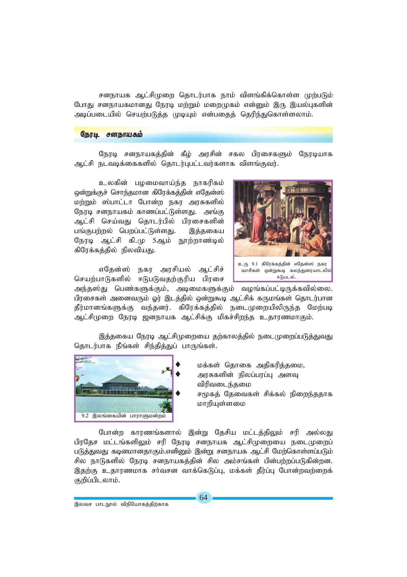சனநாயக ஆட்சிமுறை தொடர்பாக நாம் விளங்கிக்கொள்ள முற்படும் போது சனநாயகமானது நேரடி மற்றும் மறைமுகம் என்னும் இரு இயல்புகளின் அடிப்படையில் செயற்படுத்த முடியும் என்பதைத் தெரிந்துகொள்ளலாம்.

### நேரடி சனநாயகம்

நேரடி சனநாயகத்தின் கீழ் அரசின் சகல பிரசைகளும் நேரடியாக ஆட்சி நடவடிக்கைகளில் தொடர்புபட்டவர்களாக விளங்குவர்.

உலகின் பழமைவாய்ந்த நாகரிகம் ஒன்றுக்குச் சொந்தமான கிரேக்கக்கின் எகேன்ஸ் மற்றும் ஸ்பாட்டா போன்ற நகர அரசுகளில் நேரடி சனநாயகம் காணப்பட்டுள்ளது. அங்கு ஆட்சி செய்வது தொடர்பில் பிரசைகளின் பங்குபற்றல் பெறப்பட்டுள்ளது. இத்தகைய நேரடி ஆட்சி கி.மு 5ஆம் நூற்றாண்டில் கிரேக்கத்தில் நிலவியது.

எதேன்ஸ் நகர அரசியல் ஆட்சிச் செயற்பாடுகளில் ஈடுபடுவதற்குரிய பிரசை



உரு 9.1 கிரேக்கத்தின் எதேன்ஸ் நகர வாசிகள் ஒன்றுகூடி கலந்துரையாடலில் ஈடுபடல்

அந்தஸ்து பெண்களுக்கும், அடிமைகளுக்கும் வழங்கப்பட்டிருக்கவில்லை. பிரசைகள் அனைவரும் ஓர் இடத்தில் ஒன்றுகூடி ஆட்சிக் கருமங்கள் தொடர்பான தீர்மானங்களுக்கு வந்தனர். கிரேக்கத்தில் நடைமுறையிலிருந்த மேற்படி ஆட்சிமுறை நேரடி ஜனநாயக ஆட்சிக்கு மிகச்சிறந்த உதாரணமாகும்.

இத்தகைய நேரடி ஆட்சிமுறையை தற்காலத்தில் நடைமுறைப்படுத்துவது தொடர்பாக நீங்கள் சிந்தித்துப் பாருங்கள்.



மக்கள் கொகை அகிகரிக்கமை. அரசுகளின் நிலப்பரப்பு அளவு விரிவடைந்தமை சமூகத் தேவைகள் சிக்கல் நிறைந்ததாக மாறியுள்ளமை

போன்ற காரணங்களால் இன்று தேசிய மட்டத்திலும் சரி அல்லது பிரதேச மட்டங்களிலும் சரி நேரடி சனநாயக ஆட்சிமுறையை நடைமுறைப் படுத்துவது கடினமானதாகும்.எனினும் இன்று சனநாயக ஆட்சி மேற்கொள்ளப்படும் சில நாடுகளில் நேரடி சனநாயகத்தின் சில அம்சங்கள் பின்பற்றப்படுகின்றன. இதற்கு உதாரணமாக சர்வசன வாக்கெடுப்பு, மக்கள் தீர்ப்பு போன்றவற்றைக் குறிப்பிடலாம்.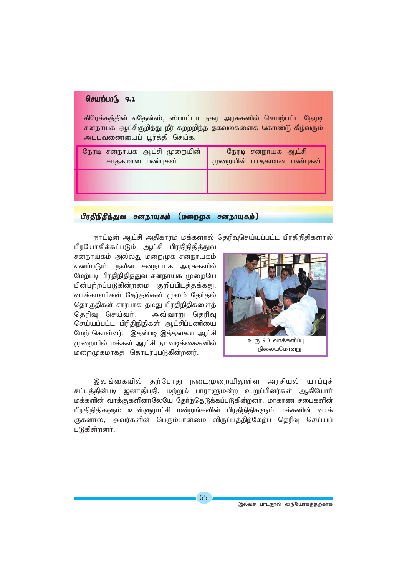### செயற்பாடு 9.1

கிரேக்கத்தின் எதேன்ஸ், ஸ்பாட்டா நகர அரசுகளில் செயற்பட்ட நேரடி சனநாயக ஆட்சிகுறித்து நீர் கற்றறிந்த தகவல்களைக் கொண்டு கீழ்வரும் அட்டவணையைப் பூர்த்தி செய்க.

| நேரடி சனநாயக ஆட்சி முறையின்<br>சாதகமான பண்புகள் | நேரடி சனநாயக ஆட்சி<br>முறையின் பாதகமான பண்புகள் |
|-------------------------------------------------|-------------------------------------------------|
|                                                 |                                                 |
|                                                 |                                                 |

பிரதிநிதித்துவ சனநாயகம் (மறைமுக சனநாயகம்)

நாட்டின் ஆட்சி அதிகாரம் மக்களால் தெரிவுசெய்யப்பட்ட பிரதிநிதிகளால்

பிரயோகிக்கப்படும் ஆட்சி பிரதிநிதித்துவ சனநாயகம் அல்லது மறைமுக சனநாயகம் எனப்படும். நவீன சனநாயக அரசுகளில் மேற்படி பிரதிநிதித்துவ சனநாயக முறையே *பி*ன்பற்றப்படுகின்றமை குறிப்பிடத்தக்கது. வாக்காளர்கள் தேர்தல்கள் மூலம் தேர்தல் தொகுதிகள் சார்பாக தமது பிரதிநிதிகளைத் தெரிவு செய்வர். அவ்வாறு தெரிவு செய்யப்பட்ட பிரிதிநிதிகள் ஆட்சிப்பணியை மேற் கொள்வர். இதன்படி இத்தகைய ஆட்சி முறையில் மக்கள் ஆட்சி நடவடிக்கைகளில் *kiwKfkhfj; njhlu;GgLfpd;wdu;.*



இலங்கையில் தற்போது நடைமுறையிலுள்ள அரசியல் யாப்புச் சட்டத்தின்படி ஜனாதிபதி, மற்றும் பாராளுமன்ற உறுப்பினர்கள் ஆகியோர் மக்களின் வாக்குகளினாலேயே தோ்ந்தெடுக்கப்படுகின்றனா். மாகாண சபைகளின் பிரதிநிதிகளும் உள்ளுராட்சி மன்றங்களின் பிரதிநிதிகளும் மக்களின் வாக் குகளால், அவர்களின் பெரும்பான்மை விருப்பத்திற்கேற்ப தெரிவு செய்யப் படுகின்றனர்.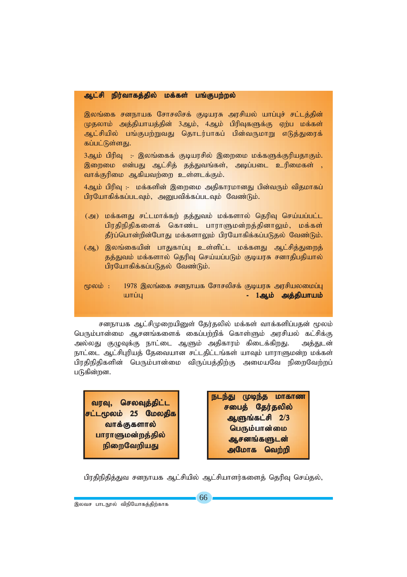### *Ml;rp epu;thfj;jpy; kf;fs; gq;Fgw;wy; epu;thfj;jpy; Ml;rp kf;fs;*

இலங்கை சனநாயக சோசலிசக் குடியரசு அரசியல் யாப்புச் சட்டத்தின் முதலாம் அத்தியாயத்தின் 3ஆம், 4ஆம் பிரிவுகளுக்கு ஏற்ப மக்கள் ஆட்சியில் பங்குபற்றுவது தொடர்பாகப் பின்வருமாறு எடுத்துரைக் கப்பட்டுள்ளது.

3ஆம் பிரிவு :- இலங்கைக் குடியரசில் இறைமை மக்களுக்குரியதாகும். இறைமை என்பது ஆட்சித் தத்துவங்கள், அடிப்படை உரிமைகள் , வாக்குரிமை ஆகியவற்றை உள்ளடக்கும்.

4ஆம் பிரிவு :- மக்களின் இறைமை அதிகாரமானது பின்வரும் விதமாகப் *பி*ரயோகிக்கப்படவும், அனுபவிக்கப்படவும் வேண்டும்.

- (அ) மக்களது சட்டமாக்கற் தத்துவம் மக்களால் தெரிவு செய்யப்பட்ட பிரதிநிதிகளைக் கொண்ட பாராளுமன்றத்தினாலும், மக்கள் **தீர்ப்பொன்றின்போது மக்களாலும் பிரயோகிக்கப்படுதல் வேண்டும்.**
- (ஆ) இலங்கையின் பாதுகாப்பு உள்ளிட்ட மக்களது ஆட்சித்துறைத் தத்துவம் மக்களால் தெரிவு செய்யப்படும் குடியரசு சனாதிபதியால் பிரயோகிக்கப்படுதல் வேண்டும்.
- மூலம் : 1978 இலங்கை சனநாயக சோசலிசக் குடியரசு அரசியலமைப்பு *ahg;G - 1Mk; mj;jpahak; mj;jpahak; -*

சனநாயக ஆட்சிமுறையினுள் தேர்தலில் மக்கள் வாக்களிப்பதன் மூலம் பெரும்பான்மை ஆசனங்களைக் கைப்பற்றிக் கொள்ளும் அரசியல் கட்சிக்கு அல்லது குழுவுக்கு நாட்டை ஆளும் அதிகாரம் கிடைக்க<u>ிறது</u>. அத்துடன் நாட்டை ஆட்சிபுரியத் தேவையான சட்டதிட்டங்கள் யாவும் பாராளுமன்ற மக்கள் *gpujpepjpfspd; ngUk;ghd;ik tpUg;gj;jpw;F mikaNt epiwNtw;wg;* படுகின்றன.

வரவு, செலவுத்திட்ட *rl;l%yk; 25 Nkyjpf* வாக்குகளால் பாராளுமன்றத்தில் நிறைவேறிய<u>த</u>ு

நடந்து முடிந்த மாகாண சபைத் தேர்தலில் *MSq;fl;rp 2***/***3* **பெரும்பான்மை** ஆசனங்களுடன் அமோக வெற்றி

பிரதிநிதித்துவ சனநாயக ஆட்சியில் ஆட்சியாளர்களைத் தெரிவு செய்தல்,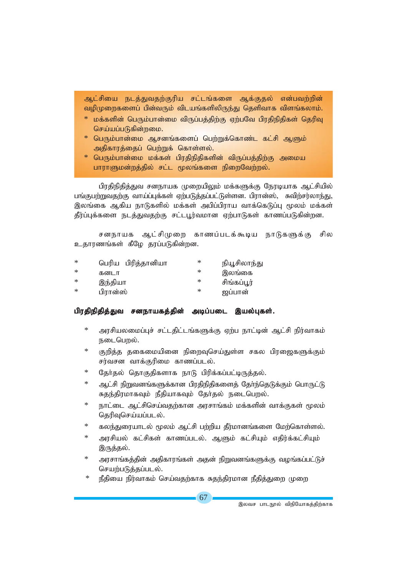ஆட்சியை நடத்துவதற்குரிய சட்டங்களை ஆக்குதல் என்பவற்றின் வழிமுறைகளைப் பின்வரும் விடயங்களிலிருந்து தெளிவாக விளங்கலாம்.

- $\,^*$  மக்களின் பெரும்பான்மை விருப்பத்திற்கு ஏற்பவே பிரதிநிதிகள் தெரிவு செய்யப்படுகின்றமை.
- \* பெரும்பான்மை ஆசனங்களைப் பெற்றுக்கொண்ட கட்சி ஆளும் அதிகாரக்கைப் பெற்றுக் கொள்ளல்.
- $*$  பெரும்பான்மை மக்கள் பிரதிநிதிகளின் விருப்பத்திற்கு அமைய பாராளுமன்றத்தில் சட்ட மூலங்களை நிறைவேற்றல்.

பிரதிநிதித்துவ சனநாயக முறையிலும் மக்களுக்கு நேரடியாக ஆட்சியில் பங்குபற்றுவதற்கு வாய்ப்புக்கள் ஏற்படுத்தப்பட்டுள்ளன. பிரான்ஸ், சுவிற்சர்லாந்து, இலங்கை ஆகிய நாடுகளில் மக்கள் அபிப்பிராய வாக்கெடுப்பு மூலம் மக்கள் தீர்ப்புக்களை நடத்துவதற்கு சட்டபூர்வமான ஏற்பாடுகள் காணப்படுகின்றன.

சனநாயக ஆட்சிமுறை காணப்படக்கூடிய நாடுகளுக்கு சில உதாரணங்கள் கீழே தரப்படுகின்றன.

| ∗ | பெரிய பிரித்தானியா | ∗ | நியூசிலாந்து |
|---|--------------------|---|--------------|
| ∗ | கனடா               | ∗ | இலங்கை       |
| ∗ | இந்தியா            | ∗ | சிங்கப்பூர்  |
| ∗ | பிரான்ஸ்           | ∗ | ஜப்பான்      |

### பிரதிநிதித்துவ சனநாயகத்தின் அடிப்படை இயல்புகள்.

- $\ast$ அரசியலமைப்புச் சட்டதிட்டங்களுக்கு ஏற்ப நாட்டின் ஆட்சி நிர்வாகம் நடைபெறல்.
- $\ast$ குறித்த தகைமையினை நிறைவுசெய்துள்ள சகல பிரஜைகளுக்கும் சர்வசன வாக்குரிமை காணப்படல்.
- தேர்தல் தொகுதிகளாக நாடு பிரிக்கப்பட்டிருத்தல்.
- $\ast$ ஆட்சி நிறுவனங்களுக்கான பிரதிநிதிகளைத் தோ்ந்தெடுக்கும் பொருட்டு சுதந்திரமாகவும் நீதியாகவும் தேர்தல் நடைபெறல்.
- நாட்டை ஆட்சிசெய்வதற்கான அரசாங்கம் மக்களின் வாக்குகள் மூலம் தெரிவுசெய்யப்படல்.
- கலந்துரையாடல் மூலம் ஆட்சி பற்றிய தீர்மானங்களை மேற்கொள்ளல்.
- $\ast$ அரசியல் கட்சிகள் காணப்படல். ஆளும் கட்சியும் எதிர்க்கட்சியும் இருத்தல்.
- அரசாங்கத்தின் அதிகாரங்கள் அதன் நிறுவனங்களுக்கு வழங்கப்பட்டுச் செயற்படுக்கப்படல்.
- நீதியை நிர்வாகம் செய்வதற்காக சுதந்திரமான நீதித்துறை முறை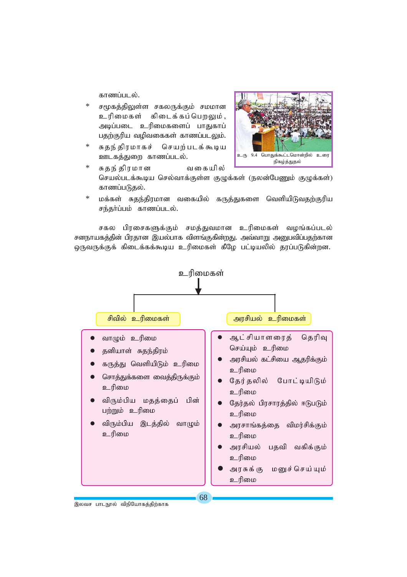காணப்படல்

- $\star$ சமுகத்திலுள்ள சகலருக்கும் சமமான உரிமைகள் கிடைக்கப்பெறலும், அடிப்படை உரிமைகளைப் பாதுகாப் பதற்குரிய வழிவகைகள் காணப்படலும்.
- சுகுந்திரமாகச் செயற்படக்கூடிய ஊடகத்துறை காணப்படல்.



- சுதந் திரமான வகையில் செயல்படக்கூடிய செல்வாக்குள்ள குழுக்கள் (நலன்பேணும் குழுக்கள்) காணப்படுதல்.
- மக்கள் சுதந்திரமான வகையில் கருத்துகளை வெளியிடுவதற்குரிய சந்தர்ப்பம் காணப்படல்.

சகல பிரசைகளுக்கும் சமத்துவமான உரிமைகள் வழங்கப்படல் சனநாயகத்தின் பிரதான இயல்பாக விளங்குகின்றது. அவ்வாறு அனுபவிப்பதற்கான ஒருவருக்குக் கிடைக்கக்கூடிய உரிமைகள் கீழே பட்டியலில் தரப்படுகின்றன.



68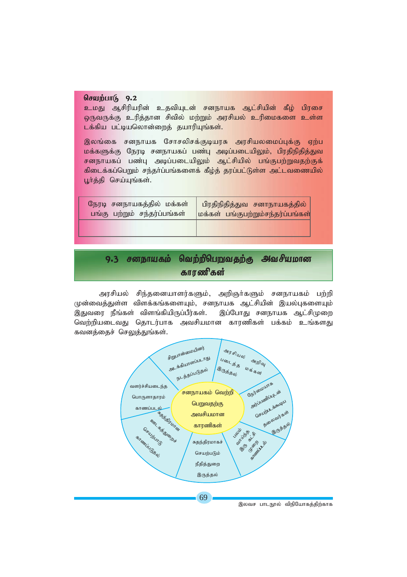### செயற்பாடு 9.2

<mark>உமது ஆசிரியரின் உதவியுடன் சனநாயக ஆட்சியின் கீழ் பிரசை</mark>  $\overline{\omega}$ ருவருக்கு உரித்தான சிவில் மற்றும் அரசியல் உரிமைகளை உள்ள <mark>டக்கிய பட்டியலொன்றைத் தயாரியுங்கள்.</mark>

இலங்கை சனநாயக சோசலிசக்குடியரசு அரசியலமைப்புக்கு ஏற்ப மக்களுக்கு நேரடி சனநாயகப் பண்பு அடிப்படையிலும், பிரதிநிதித்துவ சனநாயகப் பண்பு அடிப்படையிலும் ஆட்சியில் பங்குபற்றுவதற்குக் கிடைக்கப்பெறும் சந்தர்ப்பங்களைக் கீழ்த் தரப்பட்டுள்ள அட்டவணையில் பூர்த்தி செய்யுங்கள்.

| நேரடி சனநாயகத்தில் மக்கள்    | <u>பிரதிநிதித்துவ சனாநாயகத்தில்</u>       |
|------------------------------|-------------------------------------------|
| பங்கு பற்றும் சந்தர்ப்பங்கள் | <u> மக்கள் பங்குபற்றும்சந்தர்ப்பங்கள்</u> |
|                              |                                           |

## 9.3 சனநாயகம் வெற்றிபெறுவதற்கு அவசியமான காரணிகள்

அரசியல் சிந்தனையாளர்களும், அறிஞர்களும் சனநாயகம் பற்றி முன்வைத்துள்ள விளக்கங்களையும், சனநாயக ஆட்சியின் இயல்புகளையும் இதுவரை நீங்கள் விளங்கியிருப்பீர்கள். இப்போது சனநாயக ஆட்சிமுறை வெற்றியடைவது தொடர்பாக அவசியமான காரணிகள் பக்கம் உங்களது கவனத்தைச் செலுத்துங்கள்.

![](_page_7_Figure_6.jpeg)

இலவச பாடநூல் விநியோகத்திற்காக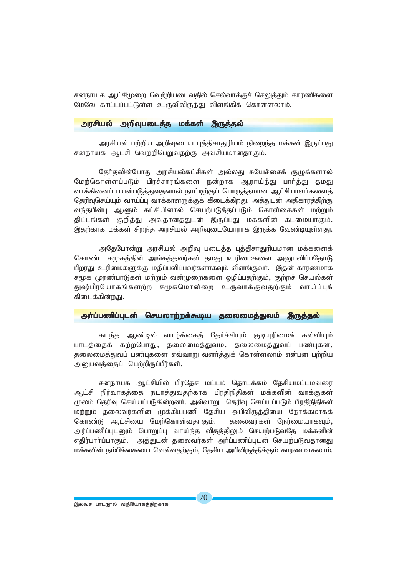சனநாயக ஆட்சிமுறை வெற்றியடைவதில் செல்வாக்குச் செலுத்தும் காரணிகளை *NkNy fhl;lg;gl;Ls;s cUtpypUe;J tpsq;fpf; nfhs;syhk;.*

### *murpay; mwpTgilj;j kf;fs; ,Uj;jy; mwpTgilj;j ,Uj;jy; kf;fs;*

அரசியல் பற்றிய அறிவுடைய புத்திசாதுரியம் நிறைந்த மக்கள் இருப்பது சனநாயக ஆட்சி வெற்றிபெறுவதற்கு அவசியமானதாகும்.

தேர்தலின்போது அரசியல்கட்சிகள் அல்லது சுயேச்சைக் குழுக்களால் மேற்கொள்ளப்படும் பிரச்சாரங்களை நன்றாக ஆராய்ந்து பார்த்து தமது வாக்கினைப் பயன்படுத்துவதனால் நாட்டிற்குப் பொருத்தமான ஆட்சியாளர்களைத் தெரிவுசெய்யும் வாய்ப்பு வாக்காளருக்குக் கிடைக்கிறது. அத்துடன் அதிகாரத்திற்கு வந்தபின்பு ஆளும் கட்சியினால் செயற்படுத்தப்படும் கொள்கைகள் மற்றும் திட்டங்கள் குறித்து அவதானத்துடன் இருப்பது மக்களின் கடமையாகும். இதற்காக மக்கள் சிறந்த அரசியல் அறிவுடையோராக இருக்க வேண்டியுள்ளது.

அதேபோன்று அரசியல் அறிவு படைத்த புத்திசாதுரியமான மக்களைக் கொண்ட சமூகத்தின் அங்கத்தவர்கள் தமது உரிமைகளை அனுபவிப்பதோடு பிறரது உரிமைகளுக்கு மதிப்பளிப்பவர்களாகவும் விளங்குவர். இதன் காரணமாக சமூக முரண்பாடுகள் மற்றும் வன்முறைகளை ஒழிப்பதற்கும், குற்றச் செயல்கள் துஷ்பிரயோகங்களற்ற சமூகமொன்றை உருவாக்குவதற்கும் வாய்ப்புக் கிடைக்கின்றது.

### *mh;g;gzpg;Gld; nrayhw;wf;\$ba jiyikj;Jtk; ,Uj;jy; mh;g;gzpg;Gld; nrayhw;wf;\$ba jiyikj;Jtk; ,Uj;jy; mh;g;gzpg;Gld; ,Uj;jy;*

கடந்த ஆண்டில் வாழ்க்கைத் தேர்ச்சியும் குடியுரிமைக் கல்வியும் *ghlj;ijf; fw;wNghJ> jiyikj;Jtk;> jiyikj;Jtg; gz;Gfs;>* தலைமைத்துவப் பண்புகளை எவ்வாறு வளர்த்துக் கொள்ளலாம் என்பன பற்றிய அறையவத்தைப் பெற்றிருப்பீர்கள்.

சனநாயக ஆட்சியில் பிரதேச மட்டம் தொடக்கம் தேசியமட்டம்வரை ஆட்சி நிர்வாகத்தை நடாத்துவதற்காக பிரதிநிதிகள் மக்களின் வாக்குகள் மூலம் தெரிவு செய்யப்படுகின்றனர். அவ்வாறு தெரிவு செய்யப்படும் பிரதிநிதிகள்; மற்றும் தலைவர்களின் முக்கியபணி தேசிய அபிவிருத்தியை நோக்கமாகக் கொண்டு ஆட்சியை மேற்கொள்வதாகும். தலைவர்கள் நேர்மையாகவும், அர்ப்பணிப்புடனும் பொறுப்பு வாய்ந்த விதத்திலும் செயற்படுவதே மக்களின் எதிர்பார்ப்பாகும். அத்துடன் தலைவர்கள் அர்ப்பணிப்புடன் செயற்படுவதானது மக்களின் நம்பிக்கையை வெல்வதற்கும், தேசிய அபிவிருத்திக்கும் காரணமாகலாம்.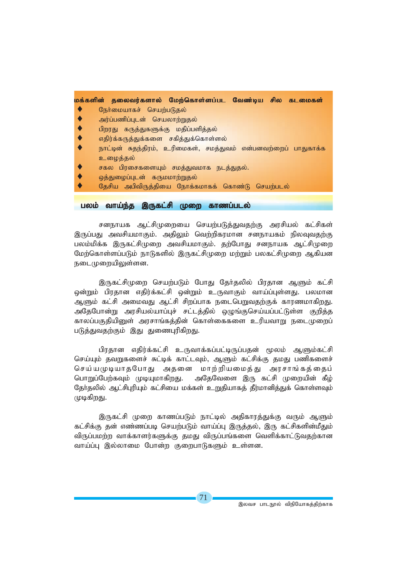|  |  | மக்களின் தலைவர்களால் மேற்கொள்ளப்பட |  |  | ் வேண்டிய சில கடமைகள் |
|--|--|------------------------------------|--|--|-----------------------|
|--|--|------------------------------------|--|--|-----------------------|

- $\blacklozenge$  கூர்மையாகச் செயற்படுதல்
- அர்ப்பணிப்புடன் செயலாற்று**தல்**
- பிறரது கருத்துகளுக்கு மதிப்பளித்தல்
- எதிர்க்கருத்துக்களை சகித்துக்கொள்ளல்
- நாட்டின் சுதந்திரம், உரிமைகள், சமத்துவம் என்பனவற்றைப் பாதுகாக்க உழைத்தல்
- சகல பிரசைகளையும் சமத்துவமாக நடத்துதல்.
- ஒத்து**மைப்புடன் கருமமாற்றுதல்**
- தேசிய அபிவிருத்தியை நோக்கமாகக் கொண்டு செயற்படல்

### *gyk; tha;e;j ,Ufl;rp Kiw fhzg;gly; tha;e;j gyk; fhzg;gly;*

சனநாயக ஆட்சிமுறையை செயற்படுத்துவதற்கு அரசியல் கட்சிகள் இருப்பது அவசியமாகும். அதிலும் வெற்றிகரமான சனநாயகம் நிலவுவதற்கு பலம்மிக்க இருகட்சிமுறை அவசியமாகும். தற்போது சனநாயக ஆட்சிமுறை மேற்கொள்ளப்படும் நாடுகளில் இருகட்சிமுறை மற்றும் பலகட்சிமுறை ஆகியன நடைமுறையிலுள்ளன.

இருகட்சிமுறை செயற்படும் போது தேர்தலில் பிரதான ஆளும் கட்சி ஒன்றும் பிரதான எதிர்க்கட்சி ஒன்றும் உருவாகும் வாய்ப்புள்ளது. பலமான ஆளும் கட்சி அமைவது ஆட்சி சிறப்பாக நடைபெறுவதற்குக் காரணமாக<u>ிறது</u>. அதேபோன்று அரசியல்யாப்புச் சட்டத்தில் ஒழுங்குசெய்யப்பட்டுள்ள குறித்த காலப்பகுகியினுள் அரசாங்கக்கின் கொள்கைகளை உரியவாறு நடைமுறைப் படுத்துவதற்கும் இது துணைபுரிகிறது.

பிரதான எதிர்க்கட்சி உருவாக்கப்பட்டிருப்பதன் மூலம் ஆளும்கட்சி செய்யும் தவறுகளைச் சுட்டிக் காட்டவும், ஆளும் கட்சிக்கு தமது பணிகளைச் செய்யமுடியாதபோது அதனை மாற்றியமைத்து அரசாங்கத்தைப் பொறுப்பேற்கவும் முடியுமாகிறது. அதேவேளை இரு கட்சி முறையின் கீழ் தேர்தலில் ஆட்சிபுரியும் கட்சியை மக்கள் உறுதியாகத் தீர்மானித்துக் கொள்ளவும் *KbfpwJ.*

இருகட்சி முறை காணப்படும் நாட்டில் அதிகாரத்துக்கு வரும் ஆளும் கட்சிக்கு தன் எண்ணப்படி செயற்படும் வாய்ப்பு இருத்தல், இரு கட்சிகளின்மீதும் விருப்பமற்ற வாக்காளர்களுக்கு தமது விருப்பங்களை வெளிக்காட்டுவதற்கான வாய்ப்பு இல்லாமை போன்ற குறைபாடுகளும் உள்ளன.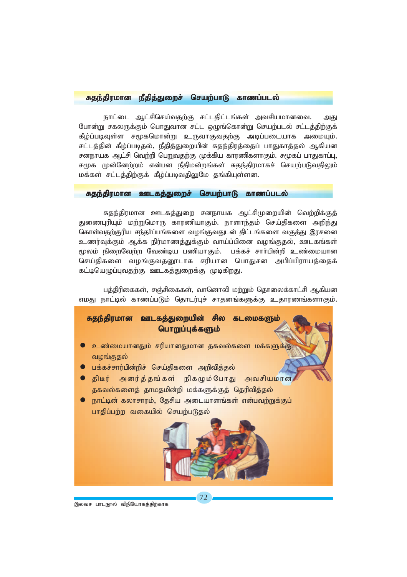### *Rje;jpukhd ePjpj;Jiwr; nraw;ghL fhzg;gly; Rje;jpukhd ePjpj;Jiwr; nraw;ghL fhzg;gly;Rje;jpukhd ePjpj;Jiwr; nraw;ghL fhzg;gly;*

நாட்டை ஆட்சிசெய்வகற்கு சட்டகிட்டங்கள் அவசியமானவை. அது போன்று சகலருக்கும் பொதுவான சட்ட ஒழுங்கொன்று செயற்படல் சட்டத்திற்குக் கீழ்ப்படிவுள்ள சமூகமொன்று உருவாகுவதற்கு அடிப்படையாக அமையும். *rl;lj;jpd; fPo;g;gbjy;> ePjpj;Jiwapd; Rje;jpuj;ijg; ghJfhj;jy; Mfpad rdehaf Ml;rp ntw;wp ngWtjw;F Kf;fpa fhuzpfshFk;. r%fg; ghJfhg;G>* சமூக முன்னேற்றம் என்பன நீதிமன்றங்கள் சுதந்திரமாகச் செயற்படுவதிலும் *kf;fs; rl;lj;jpw;Ff; fPo;g;gbtjpYNk jq;fpAs;sd.*

### *Rje;jpukhd Clfj;Jiwr; nraw;ghL fhzg;gly; Rje;jpukhd Clfj;Jiwr; nraw;ghL fhzg;gly;Rje;jpukhd nraw;ghL*

சுதந்திரமான ஊடகத்துறை சனநாயக ஆட்சிமுறையின் வெற்றிக்குத் துணைபுரியும் மற்றுமொரு காரணியாகும். நாளாந்தம் செய்திகளை அறிந்து கொள்வதற்குரிய சந்தா்ப்பங்களை வழங்குவதுடன் திட்டங்களை வகுத்து இரசனை *czu;Tf;Fk; Mf;f epu;khzj;Jf;Fk; tha;g;gpid toq;Fjy;> Clfq;fs; %yk; epiwNtw;w Ntz;ba gzpahFk;. gf;fr; rhh;gpd;wp cz;ikahd* செய்திகளை வழங்குவதனூடாக சரியான பொதுசன அபிப்பிராயத்தைக் கட்டியெழுப்புவதற்கு ஊடகத்துறைக்கு முடிகிறது.

பத்திரிகைகள், சஞ்சிகைகள், வானொலி மற்றும் தொலைக்காட்சி ஆகியன *vkJ ehl;by; fhzg;gLk; njhlu;Gr; rhjdq;fSf;F cjhuzq;fshFk;.*

![](_page_10_Picture_5.jpeg)

இலவச பாடநூல் விநியோகத்திற்காக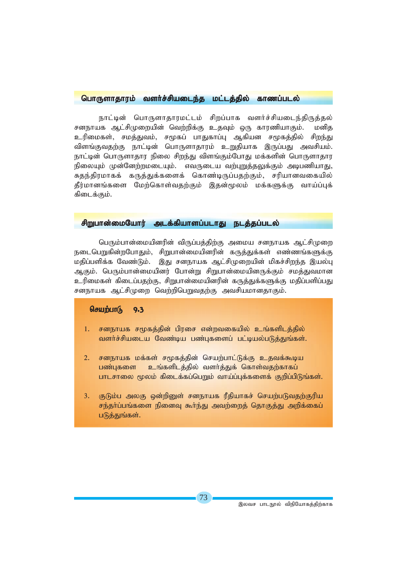### *nghUshjhuk; tsh;r;rpaile;j kl;lj;jpy; fhzg;gly; nghUshjhuk; tsh;r;rpaile;j kl;lj;jpy; fhzg;gly;*

நாட்டின் பொருளாதாரமட்டம் சிறப்பாக வளர்ச்சியடைந்திருத்தல் சனநாயக ஆட்சிமுறையின் வெற்றிக்கு உதவும் ஒரு காரணியாகும். மனித உரிமைகள், சமத்துவம், சமூகப் பாதுகாப்பு ஆகியன சமூகத்தில் ச<u>ிறந்து</u> விளங்குவதற்கு நாட்டின் பொருளாதாரம் உறுதியாக இருப்பது அவசியம். நாட்டின் பொருளாதார நிலை சிறந்து விளங்கும்போது மக்களின் பொருளாதார நிலையும் முன்னேற்றமடையும். எவருடைய வற்புறுத்தலுக்கும் அடிபணியாது, சுதந்திரமாகக் கருத்துக்களைக் கொண்டிருப்பதற்கும், சரியானவகையில் தீர்மானங்களை மேற்கொள்வதற்கும் இதன்மூலம் மக்களுக்கு வாய்ப்புக் கிடைக்கும்.

### $\frac{1}{2}$ றுபான்மையோர் அடக்கியாளப்படாது நடத்தப்படல்

பெரும்பான்மையினரின் விருப்பத்திற்கு அமைய சனநாயக ஆட்சிமுறை நடைபெறுகின்றபோகும், சிறுபான்மையினரின் கருக்குக்கள் எண்ணங்களுக்கு மதிப்பளிக்க வேண்டும். இது சனநாயக ஆட்சிமுறையின் மிகச்சிறந்த இயல்பு ஆகும். பெரும்பான்மையினர் போன்று சிறுபான்மையினருக்கும் சமத்துவமான உரிமைகள் கிடைப்பதற்கு, சிறுபான்மையினரின் கருத்துக்களுக்கு மதிப்பளிப்பது சனநாயக ஆட்சிமுறை வெற்றிபெறுவதற்கு அவசியமானதாகும்.

### கெயற்பாடு 9.3

- 1. சனநாயக சமூகத்தின் பிரசை என்றவகையில் உங்களிடத்தில் வளர்ச்சியடைய வேண்டிய பண்புகளைப் பட்டியல்படுத்துங்கள்.
- 2. சனநாயக மக்கள் சமூகத்தின் செயற்பாட்டுக்கு உதவக்கூடிய <mark>பண்புகளை உங்களிடத்தில் வளர்த்துக் கொள்வதற்காகப்</mark> பாடசாலை மூலம் கிடைக்கப்பெறும் வாய்ப்புக்களைக் குறிப்பிடுங்கள்.
- 3. குடும்ப அலகு ஒன்றினுள் சனநாயக ரீதியாகச் செயற்படுவதற்குரிய சந்தா்ப்பங்களை நினைவு கூர்ந்து அவற்றைத் தொகுத்து அறிக்கைப் படுத்துங்கள்.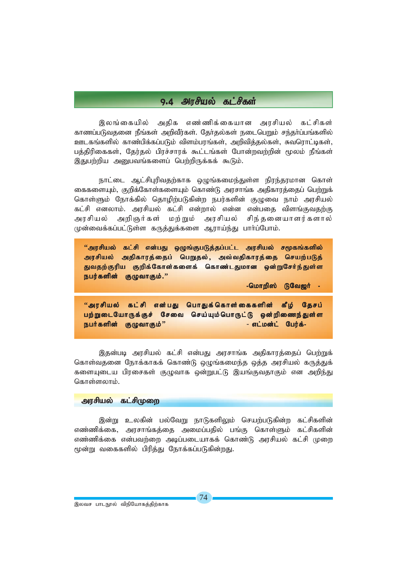### 9.4 அரசியல் கட்சிகள்

இலங்கையில் அதிக எண்ணிக்கையான அரசியல் கட்சிகள் காணப்படுவதனை நீங்கள் அறிவீர்கள். தோ்தல்கள் நடைபெறும் சந்தா்ப்பங்களில் ஊடகங்களில் காண்பிக்கப்படும் விளம்பரங்கள், அறிவித்தல்கள், சுவரொட்டிகள், பத்திரிகைகள், தேர்தல் பிரச்சாரக் கூட்டங்கள் போன்றவற்றின் மூலம் நீங்கள் இதுபற்றிய அனுபவங்களைப் பெற்றிருக்கக் கூடும்.

நாட்டை ஆட்சிபுரிவதற்காக ஒழுங்கமைந்துள்ள நிரந்தரமான கொள் கைகளையும், குறிக்கோள்களையும் கொண்டு அரசாங்க அதிகாரத்தைப் பெற்றுக் கொள்ளும் நோக்கில் தொழிற்படுகின்ற நபர்களின் குழுவை நாம் அரசியல் கட்சி எனலாம். அரசியல் கட்சி என்றால் என்ன என்பதை விளங்குவதற்கு அரசியல் அறிஞர்கள் மற்றும் அரசியல் சிந்தனையாளர்களால் முன்வைக்கப்பட்டுள்ள கருத்துக்களை ஆராய்ந்து பார்ப்போம்.

''அரசியல் கட்சி என்பது ஒழுங்குபடுத்தப்பட்ட அரசியல் சமூகங்களில் அரசியல் அதிகாரத்தைப் பெறுதல், அவ்வதிகாரத்தை செயற்படுத் துவதற்குரிய குறிக்கோள்களைக் கொண்டதுமான ஒன்றுசேர்ந்துள்ள நபர்களின் குழுவாகும்."

-மொறிஸ் டுவேஜர் -

"அரசியல் கட்சி என்பது பொதுக்கொள்கைகளின் கீழ் தேசப் பற்றுடையோருக்குச் சேவை செய்யும்பொருட்டு ஒன்றிணைந்துள்ள நபர்களின் குழுவாகும்'' - எட்மன்ட் பேர்க்-

இதன்படி அரசியல் கட்சி என்பது அரசாங்க அதிகாரத்தைப் பெற்றுக் கொள்வதனை நோக்காகக் கொண்டு ஒழுங்கமைந்த ஒத்த அரசியல் கருத்துக் களையுடைய பிரசைகள் குழுவாக ஒன்றுபட்டு இயங்குவதாகும் என அறிந்து கொள்ளலாம்.

### அரசியல் கட்சிமுறை

இன்று உலகின் பல்வேறு நாடுகளிலும் செயற்படுகின்ற கட்சிகளின் எண்ணிக்கை, அரசாங்கத்தை அமைப்பதில் பங்கு கொள்ளும் கட்சிகளின் எண்ணிக்கை என்பவற்றை அடிப்படையாகக் கொண்டு அரசியல் கட்சி முறை மூன்று வகைகளில் பிரித்து நோக்கப்படுகின்றது.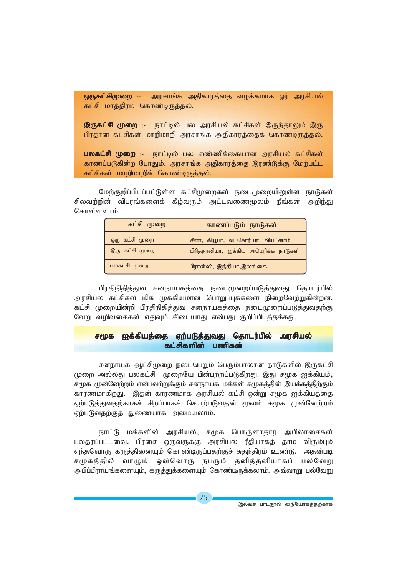அரசாங்க அதிகாரத்தை வழக்கமாக ஓர் அரசியல் ஒருகட்சிமுறை :-கட்சி மாத்திரம் கொண்டிருத்தல்.

இருகட்சி முறை :- நாட்டில் பல அரசியல் கட்சிகள் இருந்தாலும் இரு பிரதான கட்சிகள் மாறிமாறி அரசாங்க அதிகாரத்தைக் கொண்டிருத்தல்.

பலகட்சி முறை :- நாட்டில் பல எண்ணிக்கையான அரசியல் கட்சிகள் காணப்படுகின்ற போதும், அரசாங்க அதிகாரத்தை இரண்டுக்கு மேற்பட்ட கட்சிகள் மாறிமாறிக் கொண்டிருத்தல்.

மேற்குறிப்பிடப்பட்டுள்ள கட்சிமுறைகள் நடைமுறையிலுள்ள நாடுகள் சிலவற்றின் விபரங்களைக் கீழ்வரும் அட்டவணைமூலம் நீங்கள் அறிந்து கொள்ளலாம்.

| கட்சி முறை     | காணப்படும் நாடுகள்                    |  |  |  |
|----------------|---------------------------------------|--|--|--|
| ஒரு கட்சி முறை | சீனா, கியூபா, வடகொரியா, வியட்னாம்     |  |  |  |
| இரு கட்சி முறை | பிரித்தானியா, ஐக்கிய அமெரிக்க நாடுகள் |  |  |  |
| பலகட்சி முறை   | பிரான்ஸ், இந்தியா,இலங்கை              |  |  |  |

பிரதிநிதித்துவ சனநாயகத்தை நடைமுறைப்படுத்துவது தொடர்பில் அாசியல் கட்சிகள் மிக முக்கியமான பொறுப்பக்களை நிறைவேற்றுகின்றன. கட்சி முறையின்றி பிரதிநிதித்துவ சனநாயகத்தை நடைமுறைப்படுத்துவதற்கு வேறு வழிவகைகள் எதுவும் கிடையாது என்பது குறிப்பிடத்தக்கது.

#### சமூக <u>ஐக்கியத்தை ஏற்படுத்துவது தொடர்பில் அரசியல்</u> கட்சிகளின் பணிகள்

சனநாயக ஆட்சிமுறை நடைபெறும் பெரும்பாலான நாடுகளில் இருகட்சி முறை அல்லது பலகட்சி முறையே பின்பற்றப்படுகிறது. இது சமூக ஐக்கியம், சமூக முன்னேற்றம் என்பவற்றுக்கும் சனநாயக மக்கள் சமூகத்தின் இயக்கத்திற்கும் காரணமாகிறது. இதன் காரணமாக அரசியல் கட்சி ஒன்று சமூக ஐக்கியத்தை ஏற்படுத்துவதற்காகச் சிறப்பாகச் செயற்படுவதன் மூலம் சமூக முன்னேற்றம் ஏற்படுவதற்குத் துணையாக அமையலாம்.

நாட்டு மக்களின் அரசியல், சமூக பொருளாதார அபிலாசைகள் பலதரப்பட்டவை. பிரசை ஒருவருக்கு அரசியல் ரீதியாகத் தாம் விரும்பும் எந்தவொரு கருத்தினையும் கொண்டிருப்பதற்குச் சுதந்திரம் உண்டு. அதன்படி வாழும் ஒவ்வொரு நபரும் தனித்தனியாகப் பல்வேறு சமூகத்தில் அபிப்பிராயங்களையும், கருத்துக்களையும் கொண்டிருக்கலாம். அவ்வாறு பல்வேறு

இலவச பாடநூல் விநியோகத்திற்காக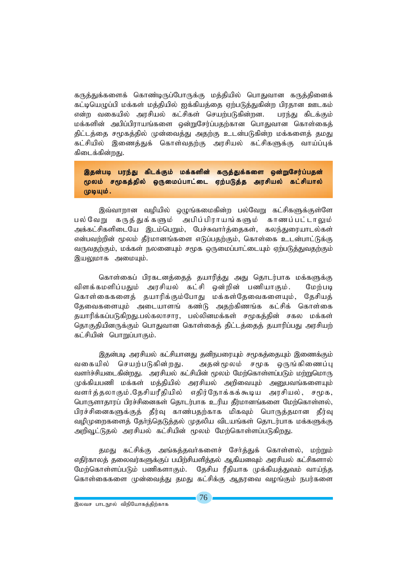கருத்துக்களைக் கொண்டிருப்போருக்கு மத்தியில் பொதுவான கருத்தினைக் கட்டியெழுப்பி மக்கள் மத்தியில் ஐக்கியத்தை ஏற்படுத்துகின்ற பிரதான ஊடகம் என்ற வகையில் அரசியல் கட்சிகள் செயற்படுகின்றன. பரந்து கிடக்கும் மக்களின் அபிப்பிராயங்களை ஒன்றுசேர்ப்பதற்கான பொதுவான கொள்கைக் திட்டத்தை சமூகத்தில் முன்வைத்து அதற்கு உடன்படுகின்ற மக்களைத் தமது கட்சியில் இணைத்துக் கொள்வதற்கு அரசியல் கட்சிகளுக்கு வாய்ப்புக் கிடைக்கின்றது.

இதன்படி பரந்து கிடக்கும் மக்களின் கருத்துக்களை ஒன்றுசேர்ப்பதன் மூலம் சமூகத்தில் ஒருமைப்பாட்டை ஏற்படுத்த அரசியல் கட்சியால் முடியும்.

இவ்வாறான வழியில் ஒழுங்கமைகின்ற பல்வேறு கட்சிகளுக்குள்ளே பல்வேறு கருத்துக்களும் அபிப்பிராயங்களும் காணப்பட்டாலும் அக்கட்சிகளிடையே இடம்பெறும். பேச்சுவார்க்கைகள். கலந்துரையாடல்கள் என்பவற்றின் மூலம் தீர்மானங்களை எடுப்பதற்கும், கொள்கை உடன்பாட்டுக்கு வருவதற்கும், மக்கள் நலனையும் சமூக ஒருமைப்பாட்டையும் ஏற்படுத்துவதற்கும் இயலுமாக அமையும்.

கொள்கைப் பிரகடனத்தைத் தயாரித்து அது தொடர்பாக மக்களுக்கு விளக்கமளிப்பதும் அரசியல் கட்சி ஒன்றின் பணியாகும். மேற்படி கொள்கைகளைத் தயாரிக்கும்போது மக்கள்தேவைகளையும், தேசியத் தேவைகளையும் அடையாளங் கண்டு அதற்கிணங்க கட்சிக் கொள்கை தயாரிக்கப்படுகிறது.பல்கலாசார, பல்லினமக்கள் சமூகத்தின் சகல மக்கள் தொகுதியினருக்கும் பொதுவான கொள்கைத் திட்டத்தைத் தயாரிப்பது அரசியற் கட்சியின் பொறுப்பாகும்.

இதன்படி அரசியல் கட்சியானது தனிநபரையும் சமூகத்தையும் இணைக்கும் வகையில் செயற்படுகின்றது. அதன்மூலம் சமூக ஒருங்கிணைப்பு வளர்ச்சியடைகின்றது. அரசியல் கட்சியின் மூலம் மேற்கொள்ளப்படும் மற்றுமொரு முக்கியபணி மக்கள் மத்தியில் அரசியல் அறிவையும் அனுபவங்களையும் வளர்த்தலாகும்.தேசியரீதியில் எதிர்நோக்கக்கூடிய அரசியல், சமூக, பொருளாதாரப் பிரச்சினைகள் தொடர்பாக உரிய கீர்மானங்களை மேற்கொள்ளல், பிரச்சினைகளுக்குத் தீர்வு காண்பதற்காக மிகவும் பொருத்தமான தீர்வு வழிமுறைகளைத் தேர்ந்தெடுத்தல் முதலிய விடயங்கள் தொடர்பாக மக்களுக்கு அறிவூட்டுதல் அரசியல் கட்சியின் மூலம் மேற்கொள்ளப்படுகிறது.

தமது கட்சிக்கு அங்கத்தவர்களைச் சேர்த்துக் கொள்ளல், மற்றும் எதிர்காலத் தலைவர்களுக்குப் பயிற்சியளித்தல் ஆகியனவும் அரசியல் கட்சிகளால் மேற்கொள்ளப்படும் பணிகளாகும். கேசிய ரீகியாக முக்கியக்குவம் வாய்ந்த கொள்கைகளை முன்வைத்து தமது கட்சிக்கு ஆதரவை வழங்கும் நபர்களை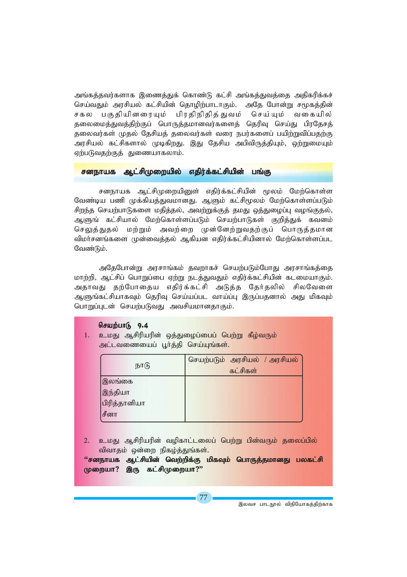அங்கத்தவர்களாக இணைத்துக் கொண்டு கட்சி அங்கத்துவத்தை அதிகரிக்கச் செய்வதும் அரசியல் கட்சியின் தொழிற்பாடாகும். அதே போன்று சமூகத்தின் சகல பகுதியினரையும் பிரதிநிதித்துவம் செய்யும் வகையில் தலைமைக்துவக்கிற்குப் பொருக்கமானவர்களைக் தெரிவு செய்து பிரகேசக் தலைவர்கள் முதல் தேசியத் தலைவர்கள் வரை நபர்களைப் பயிற்றுவிப்பதற்கு அரசியல் கட்சிகளால் முடிகிறது. இது தேசிய அபிவிருத்தியும், ஒற்றுமையும் ஏற்படுவதற்குத் துணையாகலாம்.

### <mark>சனநாயக ஆட்சிமுறையில் எதிர்க்கட்சியின் பங்கு</mark>

சனநாயக ஆட்சிமுறையினுள் எதிர்க்கட்சியின் மூலம் மேற்கொள்ள வேண்டிய பணி முக்கியத்துவமானது. ஆளும் கட்சிமூலம் மேற்கொள்ளப்படும் சிறந்த செயற்பாடுகளை மதித்தல், அவற்றுக்குத் தமது ஒத்துழைப்பு வழங்குதல், ஆளுங் கட்சியால் மேற்கொள்ளப்படும் செயற்பாடுகள் குறித்துக் கவனம் செலுத்துதல் மற்றும் அவற்றை முன்னேற்றுவதற்குப் பொருத்தமான விமா்சனங்களை முன்வைத்தல் ஆகியன எதிர்க்கட்சியினால் மேற்கொள்ளப்பட வேண்டும்.

அதேபோன்று அரசாங்கம் தவறாகச் செயற்படும்போது அரசாங்கத்தை *khw;wp> Ml;rpg; nghWg;ig Vw;W elj;JtJk; vjpu;f;fl;rpapd; flikahFk;.* அதாவது தற்போதைய எதிர்க்கட்சி அடுத்த தேர்தலில் சிலவேளை ஆளுங்கட்சியாகவும் தெரிவு செய்யப்பட வாய்ப்பு இருப்பதனால் அது மிகவும் *nghWg;Gld; nraw;gLtJ mtrpakhdjhFk;.*

### செயற்பா $(r, 9.4$

1. உமது ஆசிரியரின் ஒத்துழைப்பைப் பெற்று கீழ்வரும் அட்டவணையைப் பூர்த்தி செய்யுங்கள்.

| நாடு                                      | செயற்படும் அரசியல் / அரசியல்<br>கட்சிகள் |
|-------------------------------------------|------------------------------------------|
| இலங்கை<br>இந்தியா<br>பிரித்தானியா<br>சீனா |                                          |

2. உமது ஆசிரியரின் வழிகாட்டலைப் பெற்று பின்வரும் தலைப்பில் **விவாதம் ஒன்றை நிகழ்த்துங்கள்.** 

'*'ச*னநாயக ஆட்சியின் வெற்றிக்கு மிகவும் பொருத்தமானது பலகட்சி முறையா? இரு கட்சிமுறையா?"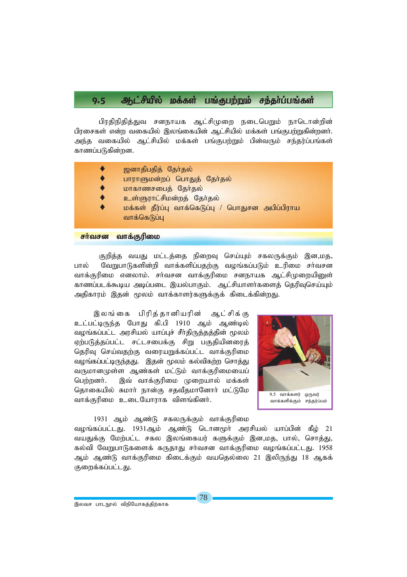### 9.5 Ml;rpapy; kf;fs; gq;Fgw;Wk; re;jh;g;gq;fs;

பிரதிநிதித்துவ சனநாயக ஆட்சிமுறை நடைபெறும் நாடொன்றின் பிரசைகள் என்ற வகையில் இலங்கையின் ஆட்சியில் மக்கள் பங்குபற்றுகின்றனர். அந்த வகையில் ஆட்சியில் மக்கள் பங்குபற்றும் பின்வரும் சந்தர்ப்பங்கள் காணப்படுகின்றன.

| ஜனாதிபதித் தேர்தல்                               |
|--------------------------------------------------|
| பாராளுமன்றப் பொதுத் தேர்தல்                      |
| மாகாணசபைத் தேர்தல்                               |
| உள்ளுராட்சிமன்றத் தேர்தல்                        |
| மக்கள் தீர்ப்பு வாக்கெடுப்பு / பொதுசன அபிப்பிராய |
| வாக்கெடுப்பு                                     |
|                                                  |

### **சா்வசன வாக்குரிமை**

குறித்த வயது மட்டத்தை நிறைவு செய்யும் சகலருக்கும் இன,மத, பால் வேறுபாடுகளின்றி வாக்களிப்பதற்கு வழங்கப்படும் உரிமை சர்வசன வாக்குரிமை எனலாம். சர்வசன வாக்குரிமை சனநாயக ஆட்சிமுறையினுள் காணப்படக்கூடிய அடிப்படை இயல்பாகும். ஆட்சியாளர்களைத் தெரிவுசெய்யும் அதிகாரம் இதன் மூலம் வாக்காளர்களுக்குக் கிடைக்கின்றது.

இலங்கை பிரித்தானியரின் ஆட்சிக்கு உட்பட்டிருந்த போது கி.பி 1910 ஆம் ஆண்டில் வழங்கப்பட்ட அரசியல் யாப்புச் சீர்திருத்தத்தின் மூலம் ஏற்படுத்தப்பட்ட சட்டசபைக்கு சிறு பகுதியினரைத் தெரிவு செய்வதற்கு வரையறுக்கப்பட்ட வாக்குரிமை வழங்கப்பட்டிருந்தது. இதன் மூலம் கல்விகற்ற சொத்து வருமானமுள்ள ஆண்கள் மட்டும் வாக்குரிமையைப் பெற்றனர். இவ் வாக்குரிமை முறையால் மக்கள் தொகையில் சுமார் நான்கு சதவீதமானோர் மட்டுமே வாக்குரிமை உடையோராக விளங்கினர்.

![](_page_16_Picture_6.jpeg)

### 1931 ஆம் ஆண்டு சகலருக்கும் வாக்குரிமை

*toq;fg;gl;lJ. 1931Mk; Mz;L nlhd%h; murpay; ahg;gpd; fPo; 21* வயதுக்கு மேற்பட்ட சகல இலங்கையர் களுக்கும் இன,மத, பால், சொத்து, *fy;tp NtWghLfisf; fUjhJ rh;trd thf;Fupik toq;fg;gl;lJ. 1958* ஆம் ஆண்டு வாக்குரிமை கிடைக்கும் வயதெல்லை 21 இலிருந்து 18 ஆகக் குறைக்கப்பட்டது.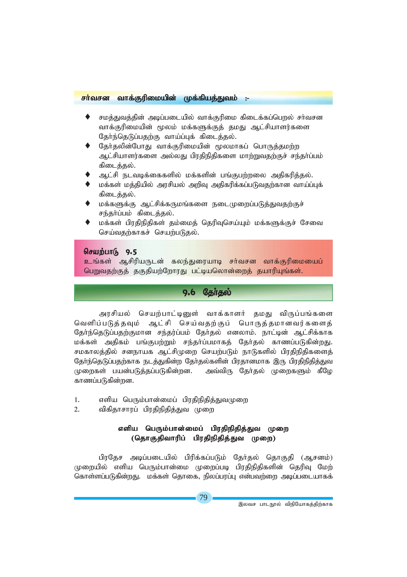### *rh;trd thf;Fupikapd; Kf;fpaj;Jtk; :-*

- சமக்குவக்கின் அடிப்படையில் வாக்குரிமை கிடைக்கப்பொல் சர்வசன வாக்குரிமையின் மூலம் மக்களுக்குத் தமது ஆட்சியாளர்களை தேர்ந்தெடுப்பதற்கு வாய்ப்புக் கிடைத்தல்.
- தேர்தலின்போது வாக்குரிமையின் மூலமாகப் பொருத்தமற்ற ஆட்சியாளர்களை அல்லது பிரதிநிதிகளை மாற்றுவதற்குச் சந்தர்ப்பம் கிடைத்தல்.
- ஆட்சி நடவடிக்கைகளில் மக்களின் பங்குபற்றலை அதிகரித்தல்.
- மக்கள் மத்தியில் அரசியல் அறிவு அதிகரிக்கப்படுவதற்கான வாய்ப்புக் கிடைக்கல்.
- மக்களுக்கு ஆட்சிக்கருமங்களை நடைமுறைப்படுத்துவதற்குச் சந்தர்ப்பம் கிடைத்தல்.
- மக்கள் பிரதிநிதிகள் தம்மைத் தெரிவுசெய்யும் மக்களுக்குச் சேவை செய்வகற்காகச் செயற்படுகல்.

### செயற்பாடு 9.5

<mark>உங்கள் ஆசிரியருடன் கலந்துரையாடி சர்வசன வாக்குரிமையைப்</mark> பெறுவதற்குத் தகுதியற்றோரது பட்டியலொன்றைத் தயாரியுங்கள்.

### <u>9.6 தேர்தல்</u>

அரசியல் செயற்பாட்டினுள் வாக்காளர் தமது விருப்பங்களை வெளிப்படுத்தவும் ஆட்சி செய்வதற்குப் பொருத்தமானவர்களைத் தேர்ந்தெடுப்பதற்குமான சந்தர்ப்பம் தேர்தல் எனலாம். நாட்டின் ஆட்சிக்காக மக்கள் அதிகம் பங்குபற்றும் சந்தர்ப்பமாகத் தேர்தல் காணப்படுகின்றது. சமகாலத்தில் சனநாயக ஆட்சிமுறை செயற்படும் நாடுகளில் பிரதிநிதிகளைத் தோ்ந்தெடுப்பதற்காக நடத்துகின்ற தோ்தல்களின் பிரதானமாக இரு பிரதிநிதித்துவ முறைகள் பயன்படுத்தப்படுகின்றன. அவ்விரு தேர்தல் முறைகளும் கீழே காணப்படுகின்றன.

- 1. எளிய பெரும்பான்மைப் பிரதிநிதித்துவமுறை
- 2. விகிகாசாாப் பிாகிநிகிக்குவ முறை

### எளிய பெரும்பான்மைப் பிரதிநிதித்துவ முறை (தொகுதிவாரிப் பிரதிநிதித்துவ முறை)

பிரதேச அடிப்படையில் பிரிக்கப்படும் தேர்தல் தொகுதி (ஆசனம்) முறையில் எளிய பெரும்பான்மை முறைப்படி பிரதிநிதிகளின் தெரிவு மேற் கொள்ளப்படுகின்றது. மக்கள் தொகை, நிலப்பரப்பு என்பவற்றை அடிப்படையாகக்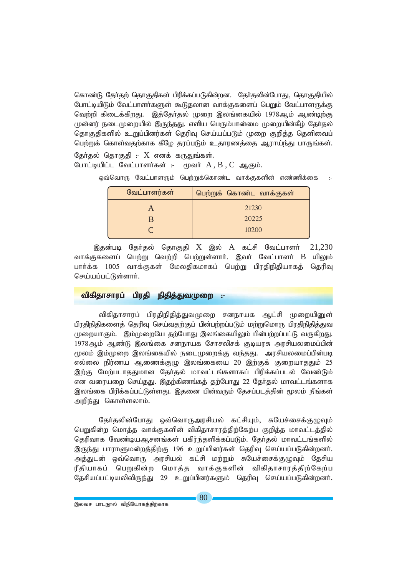கொண்டு தேர்கற் கொகுகிகள் பிரிக்கப்படுகின்றன. தேர்தலின்போது, தொகுகியில் போட்டியிடும் வேட்பாளா்களுள் கூடுதலான வாக்குகளைப் பெறும் வேட்பாளருக்கு வெற்றி கிடைக்கிறது. இத்தேர்தல் முறை இலங்கையில் 1978ஆம் ஆண்டிற்கு முன்னர் நடைமுறையில் இருந்தது. எளிய பெரும்பான்மை முறையின்கீம் தேர்தல் தொகுதிகளில் உறுப்பினர்கள் தெரிவு செய்யப்படும் முறை குறித்த தெளிவைப் பெற்றுக் கொள்வதற்காக கீழே தரப்படும் உதாரணத்தை ஆராய்ந்து பாருங்கள்.

தேர்தல் தொகுதி :-  $X$  எனக் கருதுங்கள்.  $\epsilon$ முவர்  $A$ ,  $B$ ,  $C$  ஆகும். போட்டியிட்ட வேட்பாளர்கள் :-

ஒவ்வொரு வேட்பாளரும் பெற்றுக்கொண்ட வாக்குகளின் எண்ணிக்கை

| வேட்பாளர்கள் | பெற்றுக் கொண்ட வாக்குகள் |
|--------------|--------------------------|
|              | 21230                    |
|              | 20225                    |
|              | 10200                    |
|              |                          |

இதன்படி தேர்தல் தொகுதி X இல் A கட்சி வேட்பாளர் 21.230 வாக்குகளைப் பெற்று வெற்றி பெற்றுள்ளார். இவர் வேட்பாளர் B யிலும் பார்க்க 1005 வாக்குகள் மேலகிகமாகப் பெற்று பிரதிநிதியாகத் தெரிவு செய்யப்பட்டுள்ளார்.

#### விகிதாசாரப் பிரதி நிதித்துவமுறை

விகிதாசாரப் பிரதிநிதித்துவமுறை சனநாயக ஆட்சி முறையினுள் பிரதிநிதிகளைத் தெரிவு செய்வதற்குப் பின்பற்றப்படும் மற்றுமொரு பிரதிநிதித்துவ முறையாகும். இம்முறையே தற்போது இலங்கையிலும் பின்பற்றப்பட்டு வருகிறது. 1978ஆம் ஆண்டு இலங்கை சனநாயக சோசலிசக் குடியரசு அரசியலமைப்பின் மூலம் இம்முறை இலங்கையில் நடைமுறைக்கு வந்தது. அரசியலமைப்பின்படி எல்லை நிர்ணய ஆணைக்குழு இலங்கையை 20 இற்குக் குறையாததும் 25 இற்கு மேற்படாததுமான தேர்தல் மாவட்டங்களாகப் பிரிக்கப்படல் வேண்டும் என வரையறை செய்தது. இதற்கிணங்கத் தற்போது 22 தேர்தல் மாவட்டங்களாக இலங்கை பிரிக்கப்பட்டுள்ளது. இதனை பின்வரும் தேசப்படத்தின் மூலம் நீங்கள் அறிந்து கொள்ளலாம்.

தேர்தலின்போது ஒவ்வொருஅரசியல் கட்சியும், சுயேச்சைக்குழுவும் பெறுகின்ற மொத்த வாக்குகளின் விகிதாசாரத்திற்கேற்ப குறித்த மாவட்டத்தில் தெரிவாக வேண்டியஆசனங்கள் பகிர்ந்தளிக்கப்படும். தேர்தல் மாவட்டங்களில் இருந்து பாராளுமன்றத்திற்கு 196 உறுப்பினர்கள் தெரிவு செய்யப்படுகின்றனர். அத்துடன் ஒவ்வொரு அரசியல் கட்சி மற்றும் சுயேச்சைக்குழுவும் தேசிய ரீதியாகப் பெறுகின்ற மொத்த வாக்குகளின் விகிதாசாரத்திற்கேற்ப தேசியப்பட்டியலிலிருந்து 29 உறுப்பினர்களும் தெரிவு செய்யப்படுகின்றனர்.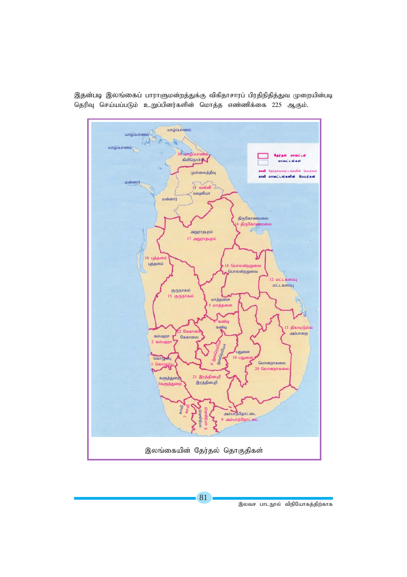![](_page_19_Figure_0.jpeg)

இதன்படி இலங்கைப் பாராளுமன்றத்துக்கு விகிதாசாரப் பிரதிநிதித்துவ முறையின்படி தெரிவு செய்யப்படும் உறுப்பினர்களின் மொத்த எண்ணிக்கை 225 ஆகும்.

இலவச பாடநூல் விநியோகத்திற்காக

81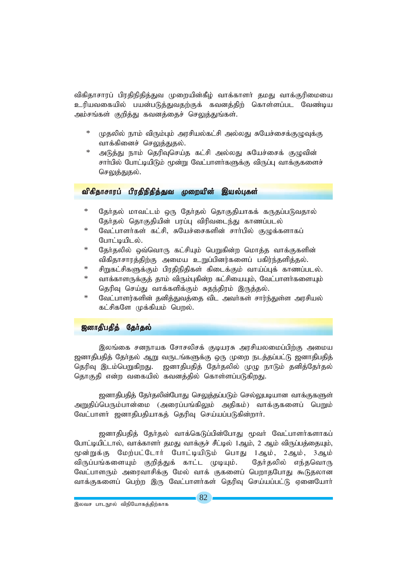விகிதாசாரப் பிரதிநிதித்துவ முறையின்கீழ் வாக்காளா் தமது வாக்குரிமையை உரியவகையில் பயன்படுத்துவதற்குக் கவனத்திற் கொள்ளப்பட வேண்டிய அம்சங்கள் குறித்து கவனத்தைச் செலுத்துங்கள்.

- முதலில் நாம் விரும்பும் அரசியல்கட்சி அல்லது சுயேச்சைக்குழுவுக்கு வாக்கினைச் செலுத்துதல்.
- அடுத்து நாம் தெரிவுசெய்த கட்சி அல்லது சுயேச்சைக் குழுவின் சாா்பில் போட்டியிடும் மூன்று வேட்பாளா்களுக்கு விருப்பு வாக்குகளைச் செலுத்துதல்.

#### விகிதாசாரப் பிரதிநிதித்துவ *ம*றையின் இயல்பகள்

- தேர்தல் மாவட்டம் ஒரு தேர்தல் தொகுதியாகக் கருதப்படுவதால் தேர்தல் தொகுதியின் பரப்பு விரிவடைந்து காணப்படல்
- $\ast$ வேட்பாளர்கள் கட்சி, சுயேச்சைகளின் சார்பில் குழுக்களாகப் போட்டியிடல்.
- தேர்தலில் ஒவ்வொரு கட்சியும் பெறுகின்ற மொத்த வாக்குகளின் விகிதாசாரத்திற்கு அமைய உறுப்பினர்களைப் பகிர்ந்தளித்தல்.
- சிறுகட்சிகளுக்கும் பிரதிநிதிகள் கிடைக்கும் வாய்ப்புக் காணப்படல்.
- $\star$ வாக்காளருக்குத் தாம் விரும்புகின்ற கட்சியையும், வேட்பாளர்களையும் தெரிவு செய்து வாக்களிக்கும் சுதந்திரம் இருத்தல்.
- வேட்பாளர்களின் தனித்துவத்தை விட அவர்கள் சார்ந்துள்ள அரசியல் கட்சிகளே முக்கியம் பொல்.

### ஜனாதிபதித் தேர்தல்

இலங்கை சனநாயக சோசலிசக் குடியரசு அரசியலமைப்பிற்கு அமைய ஜனாதிபதித் தேர்தல் ஆறு வருடங்களுக்கு ஒரு முறை நடத்தப்பட்டு ஜனாதிபதித் தெரிவு இடம்பெறுகிறது. ஜனாதிபதித் தேர்தலில் முழு நாடும் தனித்தேர்தல் தொகுதி என்ற வகையில் கவனத்தில் கொள்ளப்படுகிறது.

ஜனாதிபதித் தேர்தலின்போது செலுத்தப்படும் செல்லுபடியான வாக்குகளுள் அறுதிப்பெரும்பான்மை (அரைப்பங்கிலும் அதிகம்) வாக்குகளைப் பெறும் வேட்பாளர் ஜனாதிபதியாகத் தெரிவு செய்யப்படுகின்றார்.

ஜனாதிபதித் தேர்தல் வாக்கெடுப்பின்போது மூவர் வேட்பாளர்களாகப் போட்டியிட்டால், வாக்காளா் தமது வாக்குச் சீட்டில் 1ஆம், 2 ஆம் விருப்பத்தையும், மூன்றுக்கு மேற்பட்டோர் போட்டியிடும் பொது 1ஆம், 2ஆம், 3ஆம் விருப்பங்களையும் குறித்துக் காட்ட முடியும். கேர்கலில் எந்கவொரு வேட்பாளரும் அரைவாசிக்கு மேல் வாக் குகளைப் பெறாதபோது கூடுதலான வாக்குகளைப் பெற்ற இரு வேட்பாளர்கள் தெரிவு செய்யப்பட்டு ஏனையோர்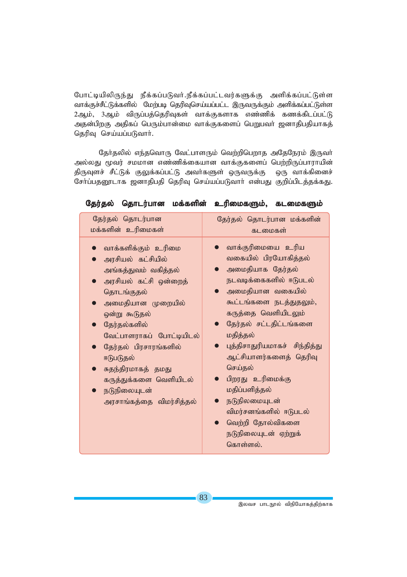போட்டியிலிருந்து நீக்கப்படுவர்.நீக்கப்பட்டவர்களுக்கு அளிக்கப்பட்டுள்ள வாக்குச்சீட்டுக்களில் மேற்படி தெரிவுசெய்யப்பட்ட இருவருக்கும் அளிக்கப்பட்டுள்ள 2ஆம், 3ஆம் விருப்பத்தெரிவுகள் வாக்குகளாக எண்ணிக் கணக்கிடப்பட்டு அதன்பிறகு அதிகப் பெரும்பான்மை வாக்குகளைப் பெறுபவர் ஜனாதிபதியாகத் தெரிவு செய்யப்படுவார்.

தேர்தலில் எந்தவொரு வேட்பாளரும் வெற்றிபெறாத அதேநேரம் இருவர் அல்லது மூவர் சமமான எண்ணிக்கையான வாக்குகளைப் பெற்றிருப்பாராயின் திருவுளச் சீட்டுக் குலுக்கப்பட்டு அவர்களுள் ஒருவருக்கு ஒரு வாக்கினைச் சோ்ப்பதனூடாக ஜனாதிபதி தெரிவு செய்யப்படுவாா் என்பது குறிப்பிடத்தக்கது.

| தேர்தல் தொடர்பான                                                                                                                                                                                                                                                                                                            | தேர்தல் தொடர்பான மக்களின்                                                                                                                                                                                                                                                                                                                                                                                         |  |  |
|-----------------------------------------------------------------------------------------------------------------------------------------------------------------------------------------------------------------------------------------------------------------------------------------------------------------------------|-------------------------------------------------------------------------------------------------------------------------------------------------------------------------------------------------------------------------------------------------------------------------------------------------------------------------------------------------------------------------------------------------------------------|--|--|
| மக்களின் உரிமைகள்                                                                                                                                                                                                                                                                                                           | கடமைகள்                                                                                                                                                                                                                                                                                                                                                                                                           |  |  |
| வாக்களிக்கும் உரிமை<br>அரசியல் கட்சியில்<br>அங்கத்துவம் வகித்தல்<br>அரசியல் கட்சி ஒன்றைத்<br>தொடங்குதல்<br>அமைதியான முறையில்<br>ஒன்று கூடுதல்<br>தேர்தல்களில்<br>வேட்பாளராகப் போட்டியிடல்<br>தேர்தல் பிரசாரங்களில்<br>ஈடுபடுதல்<br>சுதந்திரமாகத் தமது<br>கருத்துக்களை வெளியிடல்<br>நடுநிலையுடன்<br>அரசாங்கத்தை விமர்சித்தல் | வாக்குரிமையை உரிய<br>வகையில் பிரயோகித்தல்<br>அமைதியாக தேர்தல்<br>நடவடிக்கைகளில் ஈடுபடல்<br>அமைதியான வகையில்<br>கூட்டங்களை நடத்துதலும்,<br>கருத்தை வெளியிடலும்<br>தேர்தல் சட்டதிட்டங்களை<br>மதித்தல்<br>புத்திசாதுரியமாகச் சிந்தித்து<br>ஆட்சியாளர்களைத் தெரிவு<br>செய்தல்<br>பிறரது உரிமைக்கு<br>மதிப்பளித்தல்<br>நடுநிலமையுடன்<br>விமர்சனங்களில் ஈடுபடல்<br>வெற்றி தோல்விகளை<br>நடுநிலையுடன் ஏற்றுக்<br>கொள்ளல். |  |  |

தேர்தல் தொடர்பான மக்களின் உரிமைகளும், கடமைகளும்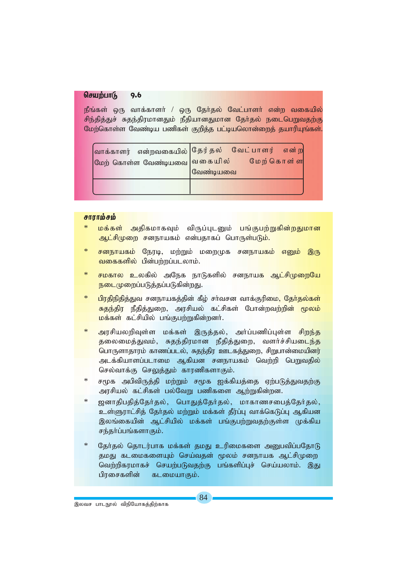#### செயற்பாடு 9.6

நீங்கள் ஒரு வாக்காளர் / ஒரு தேர்தல் வேட்பாளர் என்ற வகையில் சிந்தித்துச் சுதந்திரமானதும் நீதியானதுமான தேர்தல் நடைபெறுவதற்கு மேற்கொள்ள வேண்டிய பணிகள் குறித்த பட்டியலொன்றைத் தயாரியுங்கள்.

| <mark>வாக்காளர் என்றவகையில்</mark>  தேர்தல் வேட்பாளர் என்று<br>மேற் கொள்ள வேண்டியவை வெகையில் மேற்கொள்ள | வேண்டியவை |  |  |
|--------------------------------------------------------------------------------------------------------|-----------|--|--|
|                                                                                                        |           |  |  |

### சாராம்சம்

- <mark>மக்கள் அதிகமா</mark>கவும் விருப்புடனும் பங்குபற்றுகின்றதுமான <mark>ஆட்சிமுறை சனநாயகம் என்பதாகப் பொருள்படும்.</mark>
- <mark>சனநாயகம்</mark> நேரடி, மற்றும் மறைமுக சனநா<mark>யகம் எனும் இரு</mark> வகைகளில் பின்பற்றப்படலாம்.
- $\ast$ <mark>சமகால உ</mark>லகில் அநேக நாடுகளில் சனந<mark>ாயக ஆட்சிமுறையே</mark> நடைமுறைப்படுத்தப்படுகின்றது.
- $\ast$ <mark>பிரதிநிதித்துவ</mark> சனநாயகத்தின் கீழ் சா்வசன வாக்குரிமை<mark>, தோ்தல்கள்</mark> <mark>சுதந்திர நீதித்துறை, அரசியல் கட்சிகள் போன்றவற்றின் மூலம்</mark> மக்கள் கட்சியில் பங்குபற்றுகின்றனர்.
- $\ast$ அரசியலறிவுள்ள மக்கள் இருத்தல், அர்ப்பணிப்புள்ள <mark>சிறந்த</mark> <mark>தலைமைத்துவம், சுதந்திரமான நீதித்துறை, வளர்ச்சியடைந்த</mark> பொருளாதாரம் காணப்படல், சுதந்திர ஊடகத்துறை, சிறுபான்மையினர் அடக்கியாளப்படாமை ஆகியன சனநாயகம் வெற்றி பெறுவதில் செல்வாக்கு செலுத்தும் காரணிகளாகும்.
- சமூக அபிவிருத்தி மற்றும் சமூக ஐக்கியத்தை ஏற்படுத்துவதற்கு அரசியல் கட்சிகள் பல்வேறு பணிகளை ஆற்றுகின்றன.
- $\ast$ ஜனாதிபதித்தோ்தல், பொதுத்தோ்தல், மாகாணசபைத்தோ்தல், உள்ளுராட்சித் தேர்தல் மற்றும் மக்கள் தீர்ப்பு வாக்கெடுப்பு ஆகியன இலங்கையின் ஆட்சியில் மக்கள் பங்குபற்றுவதற்குள்ள முக்கிய சந்தர்ப்பங்களாகும்.
- தேர்தல் தொடர்பாக மக்கள் தமது உரிமைகளை அனுபவிப்பதோடு தமது கடமைகளையும் செய்வதன் மூலம் சனநாயக ஆட்சிமுறை வெற்றிகரமாகச் செயற்படுவதற்கு பங்களிப்புச் செய்யலாம். இது பிரசைகளின் கடமையாகும்.